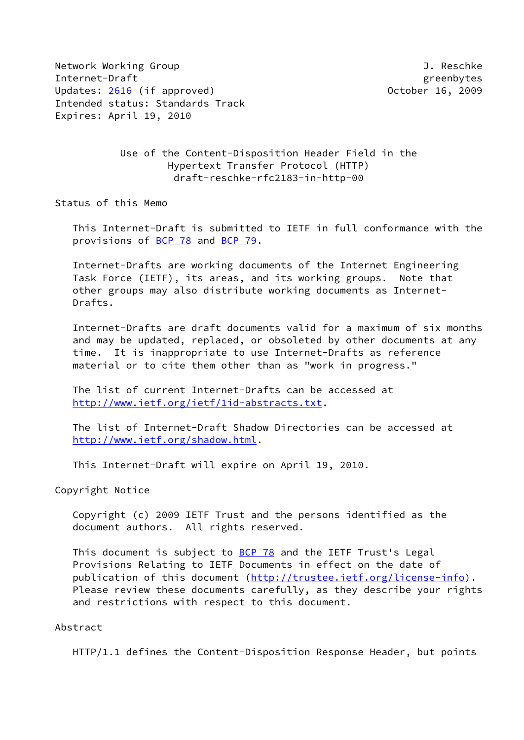Network Working Group and the settlement of the settlement of the settlement of the settlement of the settlement of the settlement of the settlement of the settlement of the settlement of the settlement of the settlement o Internet-Draft greenbytes Updates: [2616](https://datatracker.ietf.org/doc/pdf/rfc2616) (if approved) and the control of the October 16, 2009 Intended status: Standards Track Expires: April 19, 2010

## Use of the Content-Disposition Header Field in the Hypertext Transfer Protocol (HTTP) draft-reschke-rfc2183-in-http-00

Status of this Memo

 This Internet-Draft is submitted to IETF in full conformance with the provisions of [BCP 78](https://datatracker.ietf.org/doc/pdf/bcp78) and [BCP 79](https://datatracker.ietf.org/doc/pdf/bcp79).

 Internet-Drafts are working documents of the Internet Engineering Task Force (IETF), its areas, and its working groups. Note that other groups may also distribute working documents as Internet- Drafts.

 Internet-Drafts are draft documents valid for a maximum of six months and may be updated, replaced, or obsoleted by other documents at any time. It is inappropriate to use Internet-Drafts as reference material or to cite them other than as "work in progress."

 The list of current Internet-Drafts can be accessed at <http://www.ietf.org/ietf/1id-abstracts.txt>.

 The list of Internet-Draft Shadow Directories can be accessed at <http://www.ietf.org/shadow.html>.

This Internet-Draft will expire on April 19, 2010.

Copyright Notice

 Copyright (c) 2009 IETF Trust and the persons identified as the document authors. All rights reserved.

This document is subject to **[BCP 78](https://datatracker.ietf.org/doc/pdf/bcp78)** and the IETF Trust's Legal Provisions Relating to IETF Documents in effect on the date of publication of this document [\(http://trustee.ietf.org/license-info](http://trustee.ietf.org/license-info)). Please review these documents carefully, as they describe your rights and restrictions with respect to this document.

#### Abstract

HTTP/1.1 defines the Content-Disposition Response Header, but points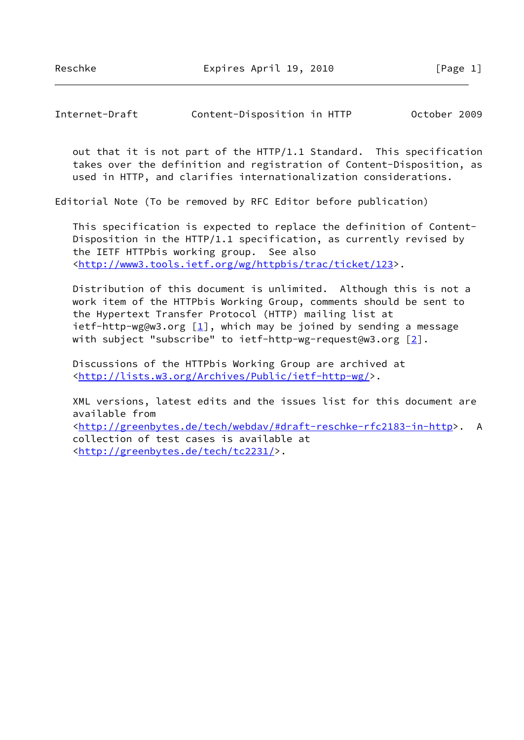Reschke Expires April 19, 2010 [Page 1]

Internet-Draft Content-Disposition in HTTP October 2009

 out that it is not part of the HTTP/1.1 Standard. This specification takes over the definition and registration of Content-Disposition, as used in HTTP, and clarifies internationalization considerations.

Editorial Note (To be removed by RFC Editor before publication)

 This specification is expected to replace the definition of Content- Disposition in the HTTP/1.1 specification, as currently revised by the IETF HTTPbis working group. See also [<http://www3.tools.ietf.org/wg/httpbis/trac/ticket/123](http://www3.tools.ietf.org/wg/httpbis/trac/ticket/123)>.

 Distribution of this document is unlimited. Although this is not a work item of the HTTPbis Working Group, comments should be sent to the Hypertext Transfer Protocol (HTTP) mailing list at ietf-http-wg@w3.org  $[1]$  $[1]$ , which may be joined by sending a message with subject "subscribe" to ietf-http-wg-request@w3.org [\[2](#page-7-1)].

 Discussions of the HTTPbis Working Group are archived at [<http://lists.w3.org/Archives/Public/ietf-http-wg/](http://lists.w3.org/Archives/Public/ietf-http-wg/)>.

 XML versions, latest edits and the issues list for this document are available from [<http://greenbytes.de/tech/webdav/#draft-reschke-rfc2183-in-http](http://greenbytes.de/tech/webdav/#draft-reschke-rfc2183-in-http)>. A collection of test cases is available at [<http://greenbytes.de/tech/tc2231/](http://greenbytes.de/tech/tc2231/)>.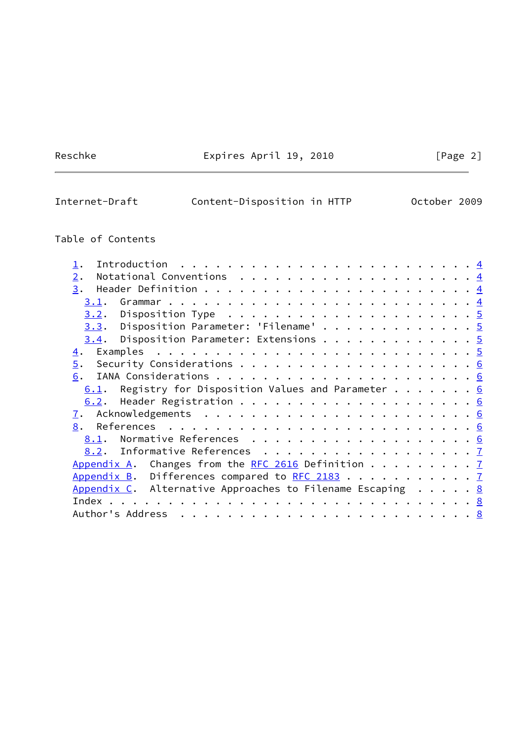Reschke Expires April 19, 2010 [Page 2]

# Internet-Draft Content-Disposition in HTTP October 2009

## Table of Contents

| Introduction $\ldots \ldots \ldots \ldots \ldots \ldots \ldots \ldots$                       |  |
|----------------------------------------------------------------------------------------------|--|
| 2.                                                                                           |  |
| 3.                                                                                           |  |
| 3.1.                                                                                         |  |
| <u>3.2</u> . Disposition Type $\ldots \ldots \ldots \ldots \ldots \ldots \ldots \frac{5}{2}$ |  |
| $3.3.$ Disposition Parameter: 'Filename' 5                                                   |  |
| $\underline{3.4}$ . Disposition Parameter: Extensions 5                                      |  |
| $\overline{4}$ .                                                                             |  |
| 5.                                                                                           |  |
| 6.                                                                                           |  |
| $6.1$ . Registry for Disposition Values and Parameter 6                                      |  |
| 6.2.                                                                                         |  |
| $\mathbf{I}$ .                                                                               |  |
| 8.                                                                                           |  |
| Normative References 6<br>8.1.                                                               |  |
| 8.2. Informative References 7                                                                |  |
| Appendix A. Changes from the RFC 2616 Definition $7$                                         |  |
| Appendix B. Differences compared to RFC 2183 7                                               |  |
| Appendix C. Alternative Approaches to Filename Escaping $\ldots$ 8                           |  |
|                                                                                              |  |
| Author's Address                                                                             |  |
|                                                                                              |  |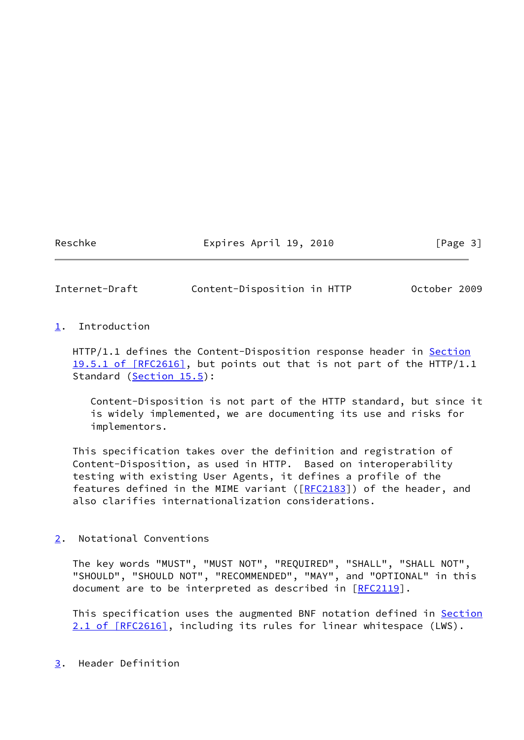Reschke Expires April 19, 2010 [Page 3]

<span id="page-3-1"></span>Internet-Draft Content-Disposition in HTTP October 2009

### <span id="page-3-0"></span>[1](#page-3-0). Introduction

HTTP/1.1 defines the Content-Disposition response header in [Section](https://datatracker.ietf.org/doc/pdf/rfc2616#section-19.5.1) [19.5.1 of \[RFC2616\]](https://datatracker.ietf.org/doc/pdf/rfc2616#section-19.5.1), but points out that is not part of the HTTP/1.1 Standard (Section 15.5):

 Content-Disposition is not part of the HTTP standard, but since it is widely implemented, we are documenting its use and risks for implementors.

 This specification takes over the definition and registration of Content-Disposition, as used in HTTP. Based on interoperability testing with existing User Agents, it defines a profile of the features defined in the MIME variant ( $[REC2183]$ ) of the header, and also clarifies internationalization considerations.

<span id="page-3-2"></span>[2](#page-3-2). Notational Conventions

 The key words "MUST", "MUST NOT", "REQUIRED", "SHALL", "SHALL NOT", "SHOULD", "SHOULD NOT", "RECOMMENDED", "MAY", and "OPTIONAL" in this document are to be interpreted as described in [\[RFC2119](https://datatracker.ietf.org/doc/pdf/rfc2119)].

 This specification uses the augmented BNF notation defined in [Section](https://datatracker.ietf.org/doc/pdf/rfc2616#section-2.1) [2.1 of \[RFC2616\]](https://datatracker.ietf.org/doc/pdf/rfc2616#section-2.1), including its rules for linear whitespace (LWS).

#### <span id="page-3-3"></span>[3](#page-3-3). Header Definition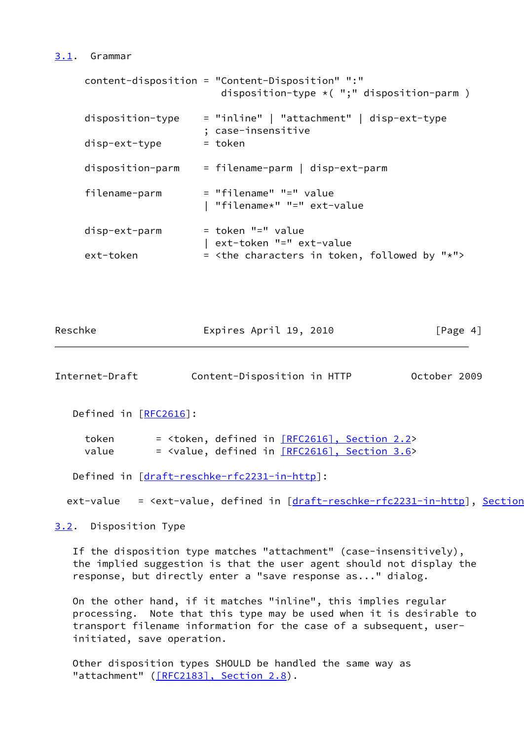#### <span id="page-4-0"></span>[3.1](#page-4-0). Grammar

```
 content-disposition = "Content-Disposition" ":"
                      disposition-type *( ";" disposition-parm )
disposition-type = "inline" | "attachment" | disp-ext-type
                    ; case-insensitive
disp-ext-type = token
 disposition-parm = filename-parm | disp-ext-parm
 filename-parm = "filename" "=" value
                    | "filename*" "=" ext-value
disp-ext-parm = token "=" value
                   | ext-token "=" ext-value
ext-token = <the characters in token, followed by "*">
```

| Reschke | Expires April 19, 2010 |  | [Page 4] |
|---------|------------------------|--|----------|
|---------|------------------------|--|----------|

<span id="page-4-2"></span>Internet-Draft Content-Disposition in HTTP October 2009

Defined in [[RFC2616\]](https://datatracker.ietf.org/doc/pdf/rfc2616):

token  $=$  <token, defined in  $[REC2616]$ , Section 2.2> value  $=$  <value, defined in  $[REC2616]$ , Section 3.6>

Defined in [[draft-reschke-rfc2231-in-http\]](https://datatracker.ietf.org/doc/pdf/draft-reschke-rfc2231-in-http):

ext-value =  $\leq$   $\leq$   $\leq$   $\leq$   $\leq$   $\leq$   $\leq$   $\leq$   $\leq$   $\leq$   $\leq$   $\leq$   $\leq$   $\leq$   $\leq$   $\leq$   $\leq$   $\leq$   $\leq$   $\leq$   $\leq$   $\leq$   $\leq$   $\leq$   $\leq$   $\leq$   $\leq$   $\leq$   $\leq$   $\leq$   $\leq$   $\leq$   $\leq$   $\leq$   $\leq$ 

<span id="page-4-1"></span>[3.2](#page-4-1). Disposition Type

 If the disposition type matches "attachment" (case-insensitively), the implied suggestion is that the user agent should not display the response, but directly enter a "save response as..." dialog.

 On the other hand, if it matches "inline", this implies regular processing. Note that this type may be used when it is desirable to transport filename information for the case of a subsequent, user initiated, save operation.

 Other disposition types SHOULD be handled the same way as "attachment" [\(\[RFC2183\], Section](https://datatracker.ietf.org/doc/pdf/rfc2183#section-2.8) 2.8).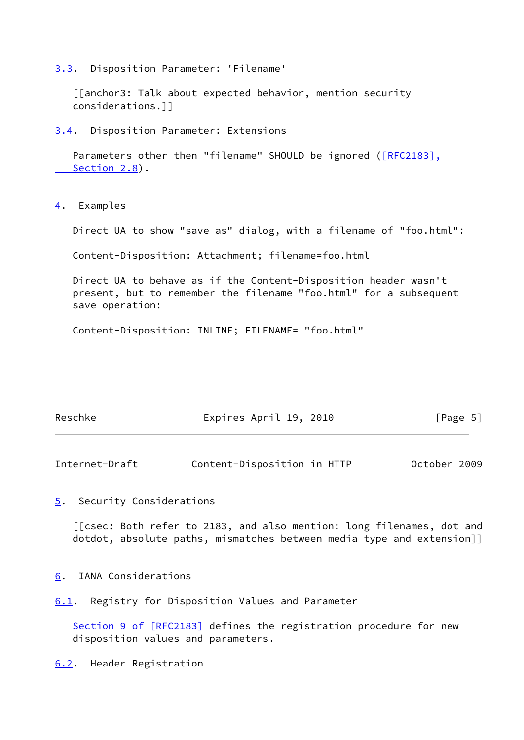<span id="page-5-0"></span>[3.3](#page-5-0). Disposition Parameter: 'Filename'

 [[anchor3: Talk about expected behavior, mention security considerations.]]

<span id="page-5-1"></span>[3.4](#page-5-1). Disposition Parameter: Extensions

Parameters other then "filename" SHOULD be ignored (*[RFC2183]*, Section 2.8).

<span id="page-5-2"></span>[4](#page-5-2). Examples

Direct UA to show "save as" dialog, with a filename of "foo.html":

Content-Disposition: Attachment; filename=foo.html

 Direct UA to behave as if the Content-Disposition header wasn't present, but to remember the filename "foo.html" for a subsequent save operation:

Content-Disposition: INLINE; FILENAME= "foo.html"

| Reschke | Expires April 19, 2010 | [Page 5] |
|---------|------------------------|----------|
|---------|------------------------|----------|

<span id="page-5-4"></span>Internet-Draft Content-Disposition in HTTP October 2009

<span id="page-5-3"></span>[5](#page-5-3). Security Considerations

 [[csec: Both refer to 2183, and also mention: long filenames, dot and dotdot, absolute paths, mismatches between media type and extension]]

<span id="page-5-5"></span>[6](#page-5-5). IANA Considerations

<span id="page-5-6"></span>[6.1](#page-5-6). Registry for Disposition Values and Parameter

Section [9 of \[RFC2183\]](https://datatracker.ietf.org/doc/pdf/rfc2183#section-9) defines the registration procedure for new disposition values and parameters.

<span id="page-5-7"></span>[6.2](#page-5-7). Header Registration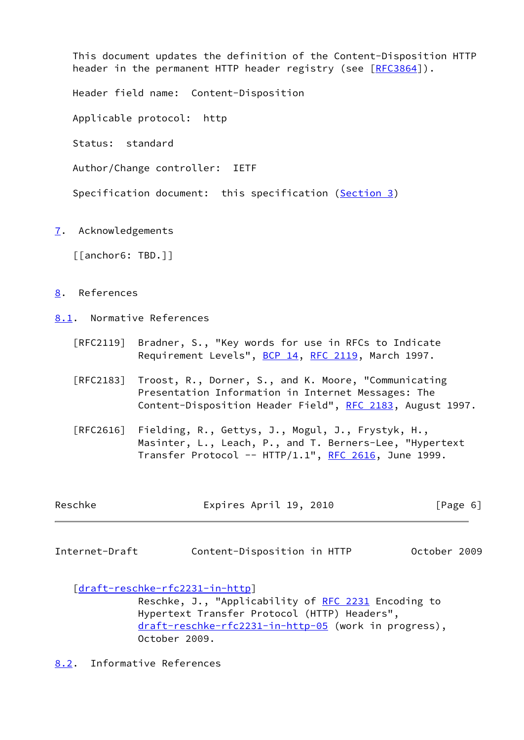This document updates the definition of the Content-Disposition HTTP header in the permanent HTTP header registry (see [[RFC3864](https://datatracker.ietf.org/doc/pdf/rfc3864)]). Header field name: Content-Disposition Applicable protocol: http Status: standard

Author/Change controller: IETF

Specification document: this specification [\(Section 3](#page-3-3))

<span id="page-6-0"></span>[7](#page-6-0). Acknowledgements

[[anchor6: TBD.]]

- <span id="page-6-1"></span>[8](#page-6-1). References
- <span id="page-6-2"></span>[8.1](#page-6-2). Normative References
	- [RFC2119] Bradner, S., "Key words for use in RFCs to Indicate Requirement Levels", [BCP 14](https://datatracker.ietf.org/doc/pdf/bcp14), [RFC 2119](https://datatracker.ietf.org/doc/pdf/rfc2119), March 1997.
	- [RFC2183] Troost, R., Dorner, S., and K. Moore, "Communicating Presentation Information in Internet Messages: The Content-Disposition Header Field", [RFC 2183](https://datatracker.ietf.org/doc/pdf/rfc2183), August 1997.
	- [RFC2616] Fielding, R., Gettys, J., Mogul, J., Frystyk, H., Masinter, L., Leach, P., and T. Berners-Lee, "Hypertext Transfer Protocol --  $HTIP/1.1$ ", [RFC 2616,](https://datatracker.ietf.org/doc/pdf/rfc2616) June 1999.

| Reschke | Expires April 19, 2010 | [Page 6] |
|---------|------------------------|----------|
|         |                        |          |

<span id="page-6-4"></span>Internet-Draft Content-Disposition in HTTP October 2009

[\[draft-reschke-rfc2231-in-http](https://datatracker.ietf.org/doc/pdf/draft-reschke-rfc2231-in-http)]

Reschke, J., "Applicability of [RFC 2231](https://datatracker.ietf.org/doc/pdf/rfc2231) Encoding to Hypertext Transfer Protocol (HTTP) Headers", [draft-reschke-rfc2231-in-http-05](https://datatracker.ietf.org/doc/pdf/draft-reschke-rfc2231-in-http-05) (work in progress), October 2009.

<span id="page-6-3"></span>[8.2](#page-6-3). Informative References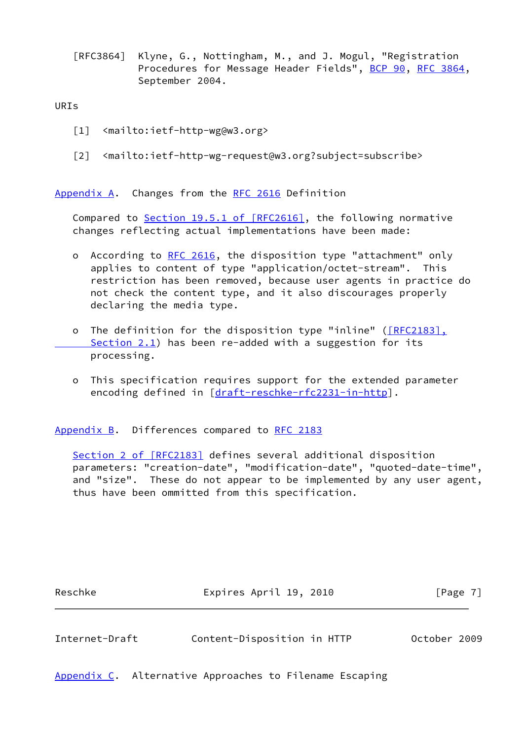[RFC3864] Klyne, G., Nottingham, M., and J. Mogul, "Registration Procedures for Message Header Fields", [BCP 90](https://datatracker.ietf.org/doc/pdf/bcp90), [RFC 3864](https://datatracker.ietf.org/doc/pdf/rfc3864), September 2004.

#### URIs

- <span id="page-7-0"></span>[1] <mailto:ietf-http-wg@w3.org>
- <span id="page-7-1"></span>[2] <mailto:ietf-http-wg-request@w3.org?subject=subscribe>

<span id="page-7-2"></span>[Appendix A.](#page-7-2) Changes from the [RFC 2616](https://datatracker.ietf.org/doc/pdf/rfc2616) Definition

Compared to Section [19.5.1 of \[RFC2616\],](https://datatracker.ietf.org/doc/pdf/rfc2616#section-19.5.1) the following normative changes reflecting actual implementations have been made:

- o According to [RFC 2616](https://datatracker.ietf.org/doc/pdf/rfc2616), the disposition type "attachment" only applies to content of type "application/octet-stream". This restriction has been removed, because user agents in practice do not check the content type, and it also discourages properly declaring the media type.
- o The definition for the disposition type "inline" [\(\[RFC2183\],](https://datatracker.ietf.org/doc/pdf/rfc2183#section-2.1) Section 2.1) has been re-added with a suggestion for its processing.
- o This specification requires support for the extended parameter encoding defined in [\[draft-reschke-rfc2231-in-http](https://datatracker.ietf.org/doc/pdf/draft-reschke-rfc2231-in-http)].

<span id="page-7-3"></span>[Appendix B.](#page-7-3) Differences compared to [RFC 2183](https://datatracker.ietf.org/doc/pdf/rfc2183)

Section [2 of \[RFC2183\]](https://datatracker.ietf.org/doc/pdf/rfc2183#section-2) defines several additional disposition parameters: "creation-date", "modification-date", "quoted-date-time", and "size". These do not appear to be implemented by any user agent, thus have been ommitted from this specification.

| Reschke | Expires April 19, 2010 | [Page 7] |  |
|---------|------------------------|----------|--|
|         |                        |          |  |

<span id="page-7-5"></span>Internet-Draft Content-Disposition in HTTP October 2009

<span id="page-7-4"></span>[Appendix C.](#page-7-4) Alternative Approaches to Filename Escaping